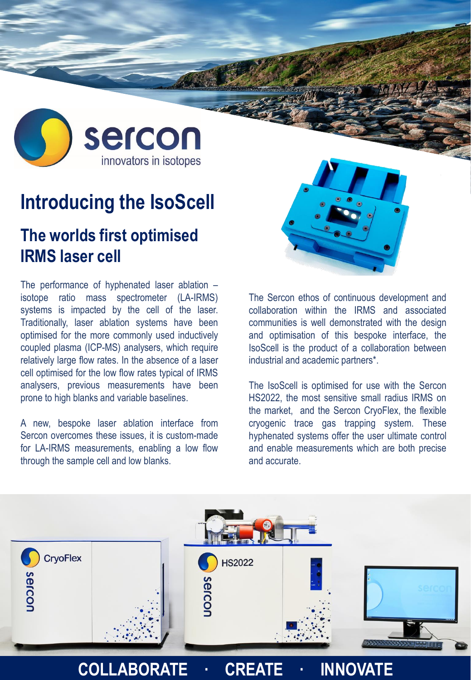

## **Introducing the IsoScell**

## **The worlds first optimised IRMS laser cell**

The performance of hyphenated laser ablation – isotope ratio mass spectrometer (LA-IRMS) systems is impacted by the cell of the laser. Traditionally, laser ablation systems have been optimised for the more commonly used inductively coupled plasma (ICP-MS) analysers, which require relatively large flow rates. In the absence of a laser cell optimised for the low flow rates typical of IRMS analysers, previous measurements have been prone to high blanks and variable baselines.

A new, bespoke laser ablation interface from Sercon overcomes these issues, it is custom-made for LA-IRMS measurements, enabling a low flow through the sample cell and low blanks.



The Sercon ethos of continuous development and collaboration within the IRMS and associated communities is well demonstrated with the design and optimisation of this bespoke interface, the IsoScell is the product of a collaboration between industrial and academic partners\*.

The IsoScell is optimised for use with the Sercon HS2022, the most sensitive small radius IRMS on the market, and the Sercon CryoFlex, the flexible cryogenic trace gas trapping system. These hyphenated systems offer the user ultimate control and enable measurements which are both precise and accurate.



## **COLLABORATE · CREATE · INNOVATE**